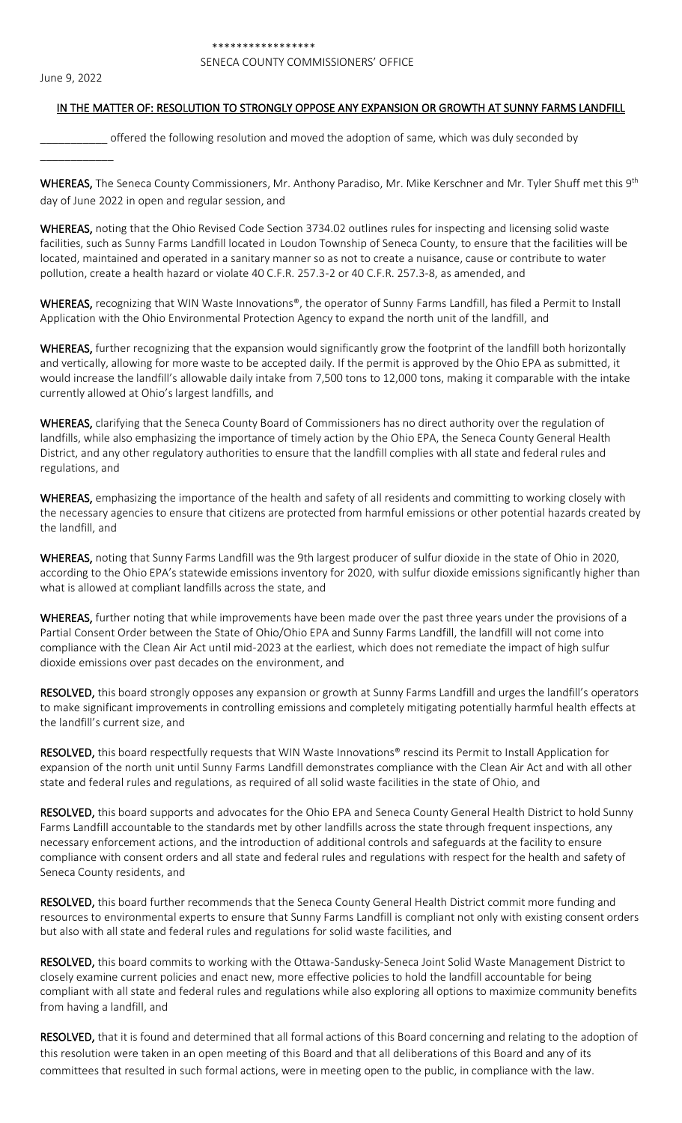## SENECA COUNTY COMMISSIONERS' OFFICE

June 9, 2022

\_\_\_\_\_\_\_\_\_\_\_\_

## IN THE MATTER OF: RESOLUTION TO STRONGLY OPPOSE ANY EXPANSION OR GROWTH AT SUNNY FARMS LANDFILL

\_\_\_\_\_\_\_\_\_\_\_ offered the following resolution and moved the adoption of same, which was duly seconded by

WHEREAS, The Seneca County Commissioners, Mr. Anthony Paradiso, Mr. Mike Kerschner and Mr. Tyler Shuff met this 9<sup>th</sup> day of June 2022 in open and regular session, and

WHEREAS, noting that the Ohio Revised Code Section 3734.02 outlines rules for inspecting and licensing solid waste facilities, such as Sunny Farms Landfill located in Loudon Township of Seneca County, to ensure that the facilities will be located, maintained and operated in a sanitary manner so as not to create a nuisance, cause or contribute to water pollution, create a health hazard or violate 40 C.F.R. 257.3-2 or 40 C.F.R. 257.3-8, as amended, and

WHEREAS, recognizing that WIN Waste Innovations®, the operator of Sunny Farms Landfill, has filed a Permit to Install Application with the Ohio Environmental Protection Agency to expand the north unit of the landfill, and

WHEREAS, further recognizing that the expansion would significantly grow the footprint of the landfill both horizontally and vertically, allowing for more waste to be accepted daily. If the permit is approved by the Ohio EPA as submitted, it would increase the landfill's allowable daily intake from 7,500 tons to 12,000 tons, making it comparable with the intake currently allowed at Ohio's largest landfills, and

WHEREAS, clarifying that the Seneca County Board of Commissioners has no direct authority over the regulation of landfills, while also emphasizing the importance of timely action by the Ohio EPA, the Seneca County General Health District, and any other regulatory authorities to ensure that the landfill complies with all state and federal rules and regulations, and

WHEREAS, emphasizing the importance of the health and safety of all residents and committing to working closely with the necessary agencies to ensure that citizens are protected from harmful emissions or other potential hazards created by the landfill, and

WHEREAS, noting that Sunny Farms Landfill was the 9th largest producer of sulfur dioxide in the state of Ohio in 2020, according to the Ohio EPA's statewide emissions inventory for 2020, with sulfur dioxide emissions significantly higher than what is allowed at compliant landfills across the state, and

WHEREAS, further noting that while improvements have been made over the past three years under the provisions of a Partial Consent Order between the State of Ohio/Ohio EPA and Sunny Farms Landfill, the landfill will not come into compliance with the Clean Air Act until mid-2023 at the earliest, which does not remediate the impact of high sulfur dioxide emissions over past decades on the environment, and

RESOLVED, this board strongly opposes any expansion or growth at Sunny Farms Landfill and urges the landfill's operators to make significant improvements in controlling emissions and completely mitigating potentially harmful health effects at the landfill's current size, and

RESOLVED, this board respectfully requests that WIN Waste Innovations® rescind its Permit to Install Application for expansion of the north unit until Sunny Farms Landfill demonstrates compliance with the Clean Air Act and with all other state and federal rules and regulations, as required of all solid waste facilities in the state of Ohio, and

RESOLVED, this board supports and advocates for the Ohio EPA and Seneca County General Health District to hold Sunny Farms Landfill accountable to the standards met by other landfills across the state through frequent inspections, any necessary enforcement actions, and the introduction of additional controls and safeguards at the facility to ensure compliance with consent orders and all state and federal rules and regulations with respect for the health and safety of Seneca County residents, and

RESOLVED, this board further recommends that the Seneca County General Health District commit more funding and resources to environmental experts to ensure that Sunny Farms Landfill is compliant not only with existing consent orders but also with all state and federal rules and regulations for solid waste facilities, and

RESOLVED, this board commits to working with the Ottawa-Sandusky-Seneca Joint Solid Waste Management District to closely examine current policies and enact new, more effective policies to hold the landfill accountable for being compliant with all state and federal rules and regulations while also exploring all options to maximize community benefits from having a landfill, and

RESOLVED, that it is found and determined that all formal actions of this Board concerning and relating to the adoption of this resolution were taken in an open meeting of this Board and that all deliberations of this Board and any of its committees that resulted in such formal actions, were in meeting open to the public, in compliance with the law.